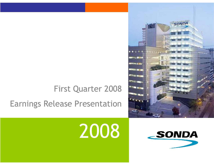## First Quarter 2008

#### Earnings Release Presentation

# 2008



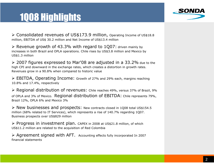### 1Q08 Highlights



> Consolidated revenues of US\$173.9 million, Operating Income of US\$18.8<br>million, EBITDA of US\$ 30.3 million and Not Income of US\$13.4 million million, EBITDA of US\$ 30.2 million and Net Income of US\$13.4 million

 $\triangleright$  Revenue growth of 43.3% with regard to 1Q07: driven mainly by<br>increases in both Brazil and OPLA enerations. Chile rises by US\$3.8 million and Movise b increases in both Brazil and OPLA operations. Chile rises by US\$3.8 million and Mexico by US\$1.3 million

▶ 2007 figures expressed to Mar'08 are adjusted in a 33.2% due to the high CPI and downward in the exchange rates, which creates a distortion in growth rates. high CPI and downward in the exchange rates, which creates a distortion in growth rates. Revenues grow in a 90.8% when compared to historic value

► EBITDA, Operating Income: Growth of 27% and 29% each, margins reaching 10.8% and 17.4% respectively. 10.8% and 17.4%, respectively

Pegional distribution of revenues: Chile reaches 49%, versus 37% of Brazil, 9% of OPLA and 3% of Mexico. Regional distribution of EBITDA: Chile represents 79%, Brazil 12%, OPLA 6% and Mexico 3%

 $\triangleright$  New businesses and prospects: New contracts closed in 1Q08 total US\$154.5 million (68% related to IT Services), which represents a rise of 140.7% regarding 1007 million (68% related to IT Services), which represents a rise of 140.7% regarding 1Q07. Business prospects over US\$829 million

> Progress in investment plan. CAPEX in 2008 at US\$21.8 million, of which lists 11.2 million are related to the acquisition of Bod Colombia US\$11.2 million are related to the acquisition of Red Colombia

> Agreement signed with AFT. Accounting effects fully incorporated In 2007 financial statements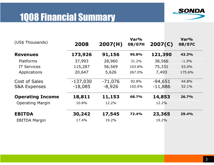#### 1Q08 Financial Summary



| (US\$ Thousands)        | 2008       | 2007(H)   | Var%<br>08/07H | 2007(C)   | Var%<br>08/07C |
|-------------------------|------------|-----------|----------------|-----------|----------------|
| <b>Revenues</b>         | 173,926    | 91,156    | 90.8%          | 121,390   | 43.3%          |
| Platforms               | 37,993     | 28,960    | 31.2%          | 38,566    | $-1.5%$        |
| <b>IT Services</b>      | 115,287    | 56,569    | 103.8%         | 75,331    | 53.0%          |
| Applications            | 20,647     | 5,626     | 267.0%         | 7,493     | 175.6%         |
| <b>Cost of Sales</b>    | $-137,030$ | $-71,076$ | 92.8%          | $-94,651$ | 44.8%          |
| <b>S&amp;A Expenses</b> | $-18,085$  | $-8,926$  | 102.6%         | $-11,886$ | 52.1%          |
| <b>Operating Income</b> | 18,811     | 11,153    | 68.7%          | 14,853    | 26.7%          |
| <b>Operating Margin</b> | 10.8%      | 12.2%     |                | 12.2%     |                |
| <b>EBITDA</b>           | 30,242     | 17,545    | 72.4%          | 23,365    | 29.4%          |
| <b>EBITDA Margin</b>    | 17.4%      | 19.2%     |                | 19.2%     |                |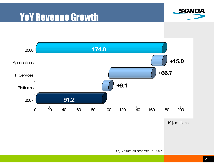





US\$ millions

(\*) Values as reported in 2007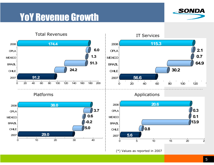#### YoY Revenue Growth



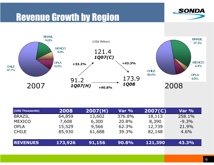#### Revenue Growth by Region





| (US\$ Thousands) | 2008    | 2007(H) | Var %  | 2007(C) | Var %   |
|------------------|---------|---------|--------|---------|---------|
| <b>BRAZIL</b>    | 64,859  | 13,602  | 376.8% | 18,113  | 258.1%  |
| <b>MEXICO</b>    | 7,608   | 6,300   | 20.8%  | 8,390   | $-9.3%$ |
| <b>OPLA</b>      | 15,529  | 9,566   | 62.3%  | 12,739  | 21.9%   |
| <b>CHILE</b>     | 85,930  | 61,688  | 39.3%  | 82,148  | $4.6\%$ |
| <b>REVENUES</b>  | 173,926 | 91,156  | 90.8%  | 121,390 | 43.3%   |
|                  |         |         |        |         |         |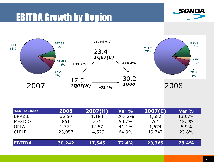#### EBITDA Growth by Region





| (US\$ Thousands) | 2008   | 2007(H) | Var %  | 2007(C) | Var %  |
|------------------|--------|---------|--------|---------|--------|
| <b>BRAZIL</b>    | 3,650  | 1,188   | 207.2% | 1,582   | 130.7% |
| <b>MEXICO</b>    | 861    | 571     | 50.7%  | 761     | 13.2%  |
| <b>OPLA</b>      | 1,774  | 1,257   | 41.1%  | 1,674   | 5.9%   |
| <b>CHILE</b>     | 23,957 | 14,529  | 64.9%  | 19,347  | 23.8%  |
|                  |        |         |        |         |        |
| <b>EBITDA</b>    | 30,242 | 17,545  | 72.4%  | 23,365  | 29.4%  |
|                  |        |         |        |         |        |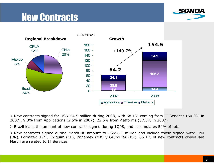#### New Contracts





 New contracts signed for US\$154.5 million during 2008, with 68.1% coming from IT Services (60.0% in 2007), 9.3% from Applications (2.5% in 2007), 22.6% from Platforms (37.5% in 2007)

 $\triangleright$  Brazil leads the amount of new contracts signed during 1Q08, and accumulates 54% of total

 New contracts signed during March-08 amount to US\$58.1 million and include those signed with: IBM (BR), Formitex (BR), Oxiquim (CL), Banamex (MX) y Grupo RA (BR). 66.1% of new contracts closed last March are related to IT Services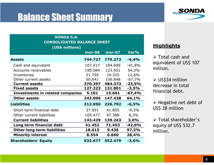#### Balance Sheet Summary



#### (US\$ millions)SONDA S.A.CONSOLIDATED BALANCE SHEET

|                                         | $mar-08$ | $mar-07$ | Var%     |
|-----------------------------------------|----------|----------|----------|
| <b>Assets</b>                           | 744.727  | 779.272  | $-4,4%$  |
| Cash and equivalent                     | 107.417  | 184.699  | $-41,8%$ |
| Accounts receivables                    | 190.584  | 123.501  | 54,3%    |
| Inventories                             | 21.755   | 19.325   | 12,6%    |
| Other current assets                    | 50.641   | 156.848  | $-67,7%$ |
| <b>Current assets</b>                   | 370.397  | 484.372  | $-23,5%$ |
| <b>Fixed assets</b>                     | 127.223  | 131.801  | $-3,5%$  |
| <b>Investments in related companies</b> | 5.101    | 15.661   | $-67,4%$ |
| <b>Other assets</b>                     | 242.006  | 147.438  | 64,1%    |
| <b>Liabilities</b>                      | 212.050  | 226.792  | $-6,5%$  |
| Short term financial debt               | 37.951   | 41.855   | $-9,3%$  |
| Other current liabilities               | 105.477  | 97.388   | 8,3%     |
| <b>Current liabilities</b>              | 143.429  | 139.243  | 3,0%     |
| Long term financial debt                | 41.452   | 71.453   | $-42,0%$ |
| <b>Other long term liabilities</b>      | 18.615   | 9.436    | 97,3%    |
| <b>Minority interest</b>                | 8.554    | 6.660    | 28,4%    |
| <b>Shareholders' Equity</b>             | 532.677  | 552.479  | $-3,6%$  |

#### **Highlights**

> Total cash and<br>caujualent of USS equivalent of US\$ 107 million.

 $\triangleright$  US\$34 million decrease in total financial debt.

≻ Negative net debt of<br>USS 28 million US\$ 28 million

> Total shareholder's<br>equity of LISS 522.7 equity of US\$ 532.7 million.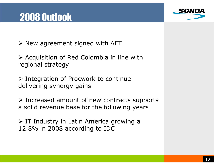#### 2008 Outlook



 $\triangleright$  New agreement signed with AFT

> Acquisition of Red Colombia in line with regional strategy. regional strategy

> Integration of Procwork to continue<br>delivering synergy gains delivering synergy gains

Increased amount of new contracts supports<br>a solid revenue hase for the following vears a solid revenue base for the following years

> IT Industry in Latin America growing a<br>12.8% in 2008 according to IDC 12.8% in 2008 according to IDC